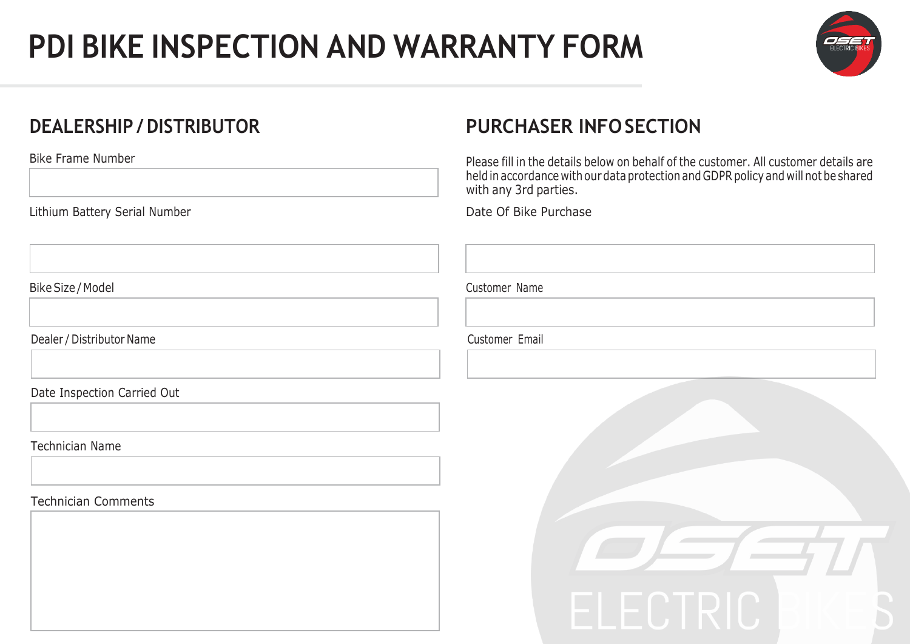## **PDI BIKE INSPECTION AND WARRANTY FORM**



### **DEALERSHIP / DISTRIBUTOR**

Bike Frame Number

Lithium Battery Serial Number

Bike Size / Model **Customer Name** 

Dealer / Distributor Name Customer Email

Date Inspection Carried Out

Technician Name

Technician Comments



### **PURCHASER INFOSECTION**

Please fill in the details below on behalf of the customer. All customer details are held in accordance with our data protection and GDPR policy and will not be shared with any 3rd parties.

Date Of Bike Purchase